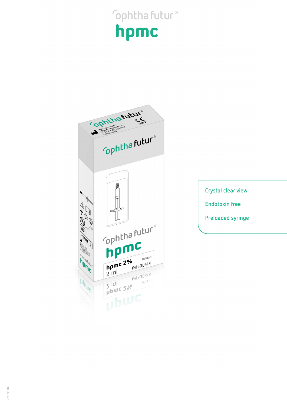## **Sophthafutur®** hpmc



Crystal clear view **Endotoxin free Preloaded syringe**